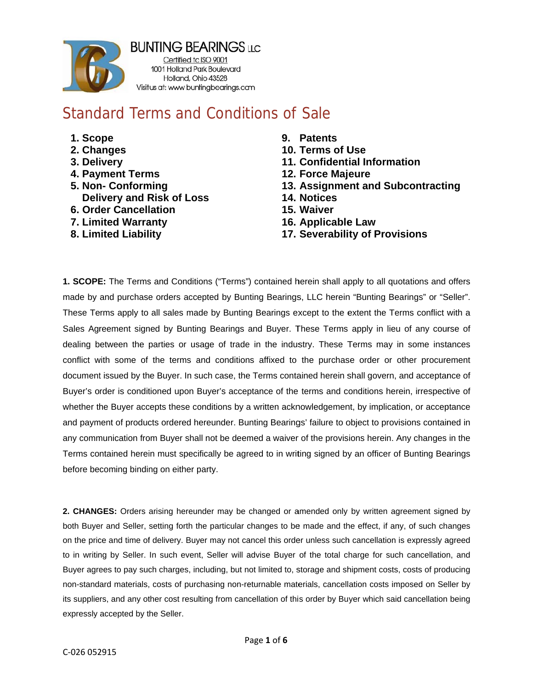

**BUNTING BEARINGS LLC** 

Certified to ISO 9001 1001 Holland Park Boulevard Holland, Ohio 43528 Visitus at: www buntingbearings.com

## **Standard Terms and Conditions of Sale**

- 1. Scope
- 2. Changes
- 3. Delivery
- **4. Payment Terms**
- 5. Non- Conforming **Delivery and Risk of Loss**
- **6. Order Cancellation**
- 7. Limited Warranty
- 8. Limited Liability
- 9. Patents
- 10. Terms of Use
- 11. Confidential Information
- **12. Force Majeure**
- 13. Assignment and Subcontracting
- 14. Notices
- 15. Waiver
- 16. Applicable Law
- **17. Severability of Provisions**

1. SCOPE: The Terms and Conditions ("Terms") contained herein shall apply to all quotations and offers made by and purchase orders accepted by Bunting Bearings, LLC herein "Bunting Bearings" or "Seller". These Terms apply to all sales made by Bunting Bearings except to the extent the Terms conflict with a Sales Agreement signed by Bunting Bearings and Buyer. These Terms apply in lieu of any course of dealing between the parties or usage of trade in the industry. These Terms may in some instances conflict with some of the terms and conditions affixed to the purchase order or other procurement document issued by the Buyer. In such case, the Terms contained herein shall govern, and acceptance of Buyer's order is conditioned upon Buyer's acceptance of the terms and conditions herein, irrespective of whether the Buyer accepts these conditions by a written acknowledgement, by implication, or acceptance and payment of products ordered hereunder. Bunting Bearings' failure to object to provisions contained in any communication from Buyer shall not be deemed a waiver of the provisions herein. Any changes in the Terms contained herein must specifically be agreed to in writing signed by an officer of Bunting Bearings before becoming binding on either party.

2. CHANGES: Orders arising hereunder may be changed or amended only by written agreement signed by both Buyer and Seller, setting forth the particular changes to be made and the effect, if any, of such changes on the price and time of delivery. Buyer may not cancel this order unless such cancellation is expressly agreed to in writing by Seller. In such event, Seller will advise Buyer of the total charge for such cancellation, and Buyer agrees to pay such charges, including, but not limited to, storage and shipment costs, costs of producing non-standard materials, costs of purchasing non-returnable materials, cancellation costs imposed on Seller by its suppliers, and any other cost resulting from cancellation of this order by Buyer which said cancellation being expressly accepted by the Seller.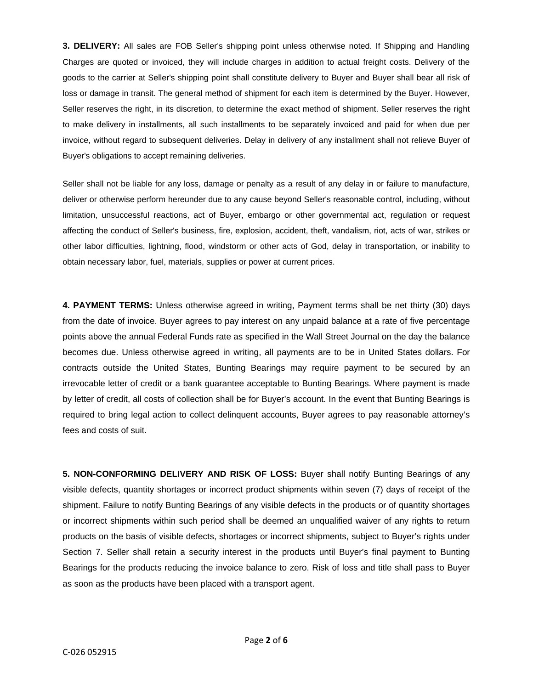**3. DELIVERY:** All sales are FOB Seller's shipping point unless otherwise noted. If Shipping and Handling Charges are quoted or invoiced, they will include charges in addition to actual freight costs. Delivery of the goods to the carrier at Seller's shipping point shall constitute delivery to Buyer and Buyer shall bear all risk of loss or damage in transit. The general method of shipment for each item is determined by the Buyer. However, Seller reserves the right, in its discretion, to determine the exact method of shipment. Seller reserves the right to make delivery in installments, all such installments to be separately invoiced and paid for when due per invoice, without regard to subsequent deliveries. Delay in delivery of any installment shall not relieve Buyer of Buyer's obligations to accept remaining deliveries.

Seller shall not be liable for any loss, damage or penalty as a result of any delay in or failure to manufacture, deliver or otherwise perform hereunder due to any cause beyond Seller's reasonable control, including, without limitation, unsuccessful reactions, act of Buyer, embargo or other governmental act, regulation or request affecting the conduct of Seller's business, fire, explosion, accident, theft, vandalism, riot, acts of war, strikes or other labor difficulties, lightning, flood, windstorm or other acts of God, delay in transportation, or inability to obtain necessary labor, fuel, materials, supplies or power at current prices.

**4. PAYMENT TERMS:** Unless otherwise agreed in writing, Payment terms shall be net thirty (30) days from the date of invoice. Buyer agrees to pay interest on any unpaid balance at a rate of five percentage points above the annual Federal Funds rate as specified in the Wall Street Journal on the day the balance becomes due. Unless otherwise agreed in writing, all payments are to be in United States dollars. For contracts outside the United States, Bunting Bearings may require payment to be secured by an irrevocable letter of credit or a bank guarantee acceptable to Bunting Bearings. Where payment is made by letter of credit, all costs of collection shall be for Buyer's account. In the event that Bunting Bearings is required to bring legal action to collect delinquent accounts, Buyer agrees to pay reasonable attorney's fees and costs of suit.

**5. NON-CONFORMING DELIVERY AND RISK OF LOSS:** Buyer shall notify Bunting Bearings of any visible defects, quantity shortages or incorrect product shipments within seven (7) days of receipt of the shipment. Failure to notify Bunting Bearings of any visible defects in the products or of quantity shortages or incorrect shipments within such period shall be deemed an unqualified waiver of any rights to return products on the basis of visible defects, shortages or incorrect shipments, subject to Buyer's rights under Section 7. Seller shall retain a security interest in the products until Buyer's final payment to Bunting Bearings for the products reducing the invoice balance to zero. Risk of loss and title shall pass to Buyer as soon as the products have been placed with a transport agent.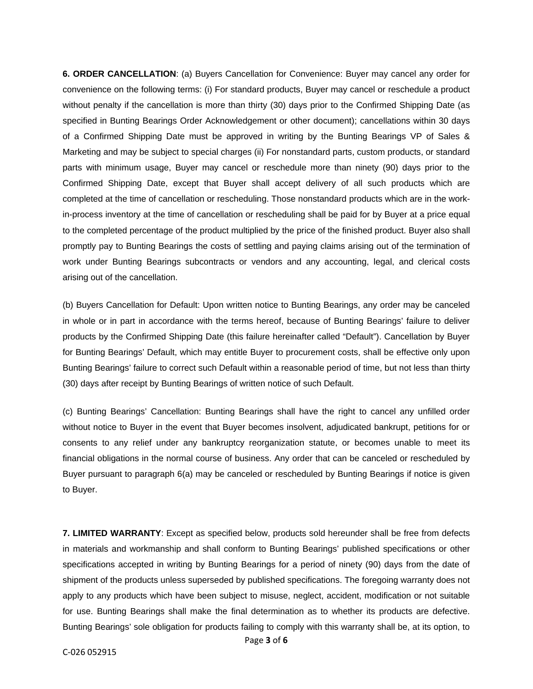**6. ORDER CANCELLATION**: (a) Buyers Cancellation for Convenience: Buyer may cancel any order for convenience on the following terms: (i) For standard products, Buyer may cancel or reschedule a product without penalty if the cancellation is more than thirty (30) days prior to the Confirmed Shipping Date (as specified in Bunting Bearings Order Acknowledgement or other document); cancellations within 30 days of a Confirmed Shipping Date must be approved in writing by the Bunting Bearings VP of Sales & Marketing and may be subject to special charges (ii) For nonstandard parts, custom products, or standard parts with minimum usage, Buyer may cancel or reschedule more than ninety (90) days prior to the Confirmed Shipping Date, except that Buyer shall accept delivery of all such products which are completed at the time of cancellation or rescheduling. Those nonstandard products which are in the workin-process inventory at the time of cancellation or rescheduling shall be paid for by Buyer at a price equal to the completed percentage of the product multiplied by the price of the finished product. Buyer also shall promptly pay to Bunting Bearings the costs of settling and paying claims arising out of the termination of work under Bunting Bearings subcontracts or vendors and any accounting, legal, and clerical costs arising out of the cancellation.

(b) Buyers Cancellation for Default: Upon written notice to Bunting Bearings, any order may be canceled in whole or in part in accordance with the terms hereof, because of Bunting Bearings' failure to deliver products by the Confirmed Shipping Date (this failure hereinafter called "Default"). Cancellation by Buyer for Bunting Bearings' Default, which may entitle Buyer to procurement costs, shall be effective only upon Bunting Bearings' failure to correct such Default within a reasonable period of time, but not less than thirty (30) days after receipt by Bunting Bearings of written notice of such Default.

(c) Bunting Bearings' Cancellation: Bunting Bearings shall have the right to cancel any unfilled order without notice to Buyer in the event that Buyer becomes insolvent, adjudicated bankrupt, petitions for or consents to any relief under any bankruptcy reorganization statute, or becomes unable to meet its financial obligations in the normal course of business. Any order that can be canceled or rescheduled by Buyer pursuant to paragraph 6(a) may be canceled or rescheduled by Bunting Bearings if notice is given to Buyer.

**7. LIMITED WARRANTY**: Except as specified below, products sold hereunder shall be free from defects in materials and workmanship and shall conform to Bunting Bearings' published specifications or other specifications accepted in writing by Bunting Bearings for a period of ninety (90) days from the date of shipment of the products unless superseded by published specifications. The foregoing warranty does not apply to any products which have been subject to misuse, neglect, accident, modification or not suitable for use. Bunting Bearings shall make the final determination as to whether its products are defective. Bunting Bearings' sole obligation for products failing to comply with this warranty shall be, at its option, to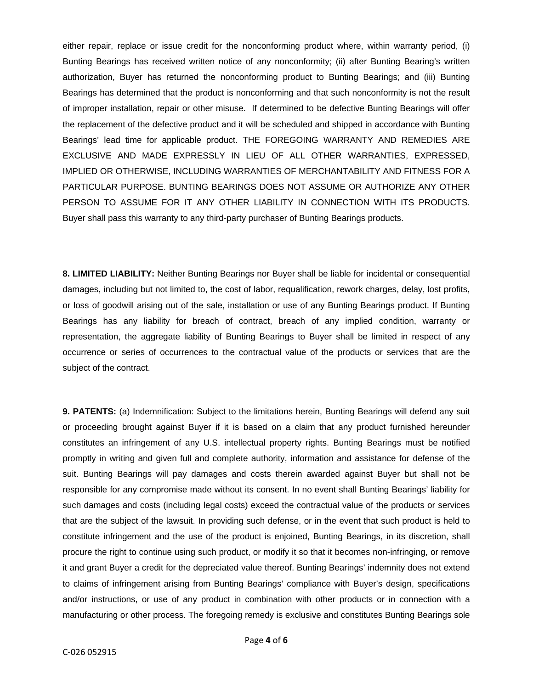either repair, replace or issue credit for the nonconforming product where, within warranty period, (i) Bunting Bearings has received written notice of any nonconformity; (ii) after Bunting Bearing's written authorization, Buyer has returned the nonconforming product to Bunting Bearings; and (iii) Bunting Bearings has determined that the product is nonconforming and that such nonconformity is not the result of improper installation, repair or other misuse. If determined to be defective Bunting Bearings will offer the replacement of the defective product and it will be scheduled and shipped in accordance with Bunting Bearings' lead time for applicable product. THE FOREGOING WARRANTY AND REMEDIES ARE EXCLUSIVE AND MADE EXPRESSLY IN LIEU OF ALL OTHER WARRANTIES, EXPRESSED, IMPLIED OR OTHERWISE, INCLUDING WARRANTIES OF MERCHANTABILITY AND FITNESS FOR A PARTICULAR PURPOSE. BUNTING BEARINGS DOES NOT ASSUME OR AUTHORIZE ANY OTHER PERSON TO ASSUME FOR IT ANY OTHER LIABILITY IN CONNECTION WITH ITS PRODUCTS. Buyer shall pass this warranty to any third-party purchaser of Bunting Bearings products.

**8. LIMITED LIABILITY:** Neither Bunting Bearings nor Buyer shall be liable for incidental or consequential damages, including but not limited to, the cost of labor, requalification, rework charges, delay, lost profits, or loss of goodwill arising out of the sale, installation or use of any Bunting Bearings product. If Bunting Bearings has any liability for breach of contract, breach of any implied condition, warranty or representation, the aggregate liability of Bunting Bearings to Buyer shall be limited in respect of any occurrence or series of occurrences to the contractual value of the products or services that are the subject of the contract.

**9. PATENTS:** (a) Indemnification: Subject to the limitations herein, Bunting Bearings will defend any suit or proceeding brought against Buyer if it is based on a claim that any product furnished hereunder constitutes an infringement of any U.S. intellectual property rights. Bunting Bearings must be notified promptly in writing and given full and complete authority, information and assistance for defense of the suit. Bunting Bearings will pay damages and costs therein awarded against Buyer but shall not be responsible for any compromise made without its consent. In no event shall Bunting Bearings' liability for such damages and costs (including legal costs) exceed the contractual value of the products or services that are the subject of the lawsuit. In providing such defense, or in the event that such product is held to constitute infringement and the use of the product is enjoined, Bunting Bearings, in its discretion, shall procure the right to continue using such product, or modify it so that it becomes non-infringing, or remove it and grant Buyer a credit for the depreciated value thereof. Bunting Bearings' indemnity does not extend to claims of infringement arising from Bunting Bearings' compliance with Buyer's design, specifications and/or instructions, or use of any product in combination with other products or in connection with a manufacturing or other process. The foregoing remedy is exclusive and constitutes Bunting Bearings sole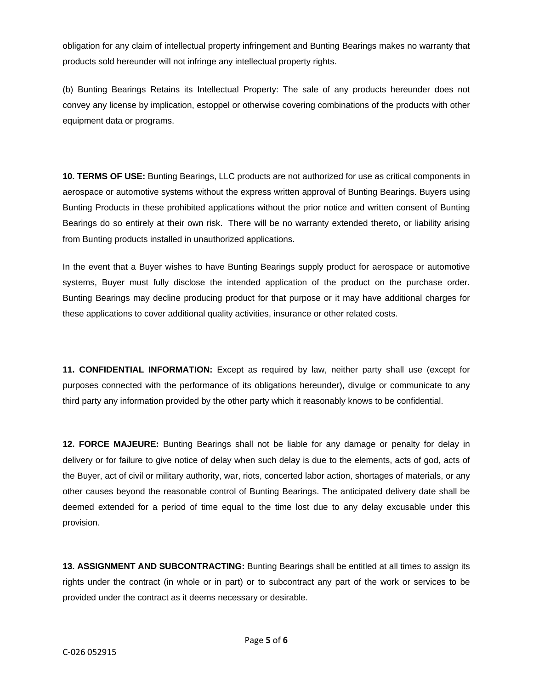obligation for any claim of intellectual property infringement and Bunting Bearings makes no warranty that products sold hereunder will not infringe any intellectual property rights.

(b) Bunting Bearings Retains its Intellectual Property: The sale of any products hereunder does not convey any license by implication, estoppel or otherwise covering combinations of the products with other equipment data or programs.

**10. TERMS OF USE:** Bunting Bearings, LLC products are not authorized for use as critical components in aerospace or automotive systems without the express written approval of Bunting Bearings. Buyers using Bunting Products in these prohibited applications without the prior notice and written consent of Bunting Bearings do so entirely at their own risk. There will be no warranty extended thereto, or liability arising from Bunting products installed in unauthorized applications.

In the event that a Buyer wishes to have Bunting Bearings supply product for aerospace or automotive systems, Buyer must fully disclose the intended application of the product on the purchase order. Bunting Bearings may decline producing product for that purpose or it may have additional charges for these applications to cover additional quality activities, insurance or other related costs.

**11. CONFIDENTIAL INFORMATION:** Except as required by law, neither party shall use (except for purposes connected with the performance of its obligations hereunder), divulge or communicate to any third party any information provided by the other party which it reasonably knows to be confidential.

**12. FORCE MAJEURE:** Bunting Bearings shall not be liable for any damage or penalty for delay in delivery or for failure to give notice of delay when such delay is due to the elements, acts of god, acts of the Buyer, act of civil or military authority, war, riots, concerted labor action, shortages of materials, or any other causes beyond the reasonable control of Bunting Bearings. The anticipated delivery date shall be deemed extended for a period of time equal to the time lost due to any delay excusable under this provision.

**13. ASSIGNMENT AND SUBCONTRACTING:** Bunting Bearings shall be entitled at all times to assign its rights under the contract (in whole or in part) or to subcontract any part of the work or services to be provided under the contract as it deems necessary or desirable.